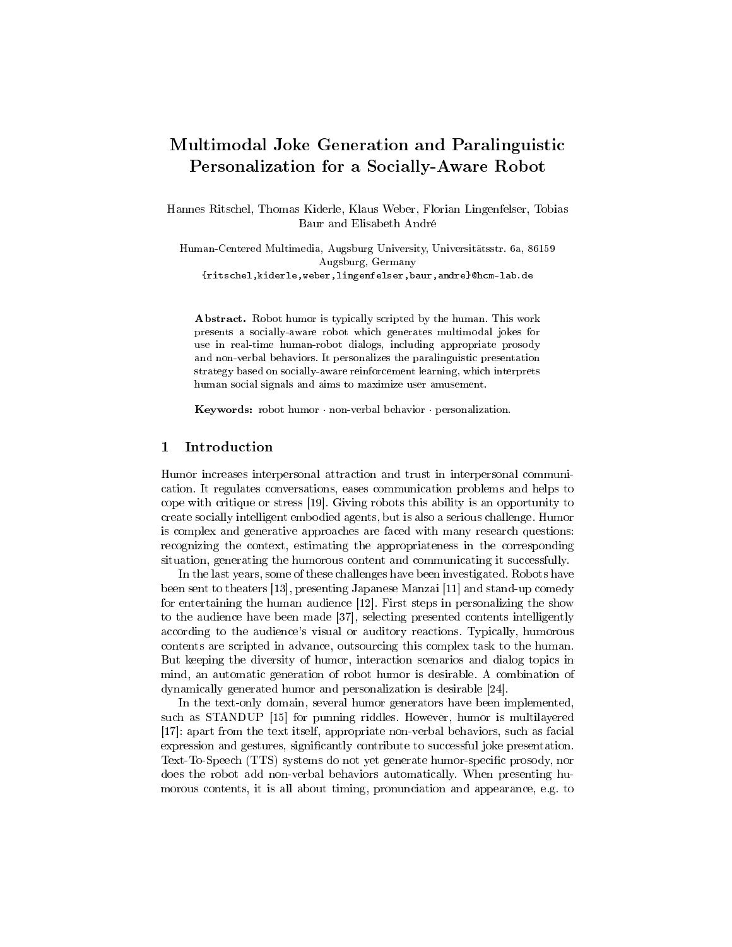# Multimodal Joke Generation and Paralinguistic Personalization for a Socially-Aware Robot

Hannes Ritschel, Thomas Kiderle, Klaus Weber, Florian Lingenfelser, Tobias Baur and Elisabeth André

Human-Centered Multimedia, Augsburg University, Universitätsstr. 6a, 86159 Augsburg, Germany {ritschel,kiderle,weber,lingenfelser,baur,andre}@hcm-lab.de

Abstract. Robot humor is typically scripted by the human. This work presents a socially-aware robot which generates multimodal jokes for use in real-time human-robot dialogs, including appropriate prosody and non-verbal behaviors. It personalizes the paralinguistic presentation strategy based on socially-aware reinforcement learning, which interprets human social signals and aims to maximize user amusement.

Keywords: robot humor · non-verbal behavior · personalization.

## 1 Introduction

Humor increases interpersonal attraction and trust in interpersonal communication. It regulates conversations, eases communication problems and helps to cope with critique or stress [19]. Giving robots this ability is an opportunity to create socially intelligent embodied agents, but is also a serious challenge. Humor is complex and generative approaches are faced with many research questions: recognizing the context, estimating the appropriateness in the corresponding situation, generating the humorous content and communicating it successfully.

In the last years, some of these challenges have been investigated. Robots have been sent to theaters [13], presenting Japanese Manzai [11] and stand-up comedy for entertaining the human audience [12]. First steps in personalizing the show to the audience have been made [37], selecting presented contents intelligently according to the audience's visual or auditory reactions. Typically, humorous contents are scripted in advance, outsourcing this complex task to the human. But keeping the diversity of humor, interaction scenarios and dialog topics in mind, an automatic generation of robot humor is desirable. A combination of dynamically generated humor and personalization is desirable [24].

In the text-only domain, several humor generators have been implemented, such as STANDUP [15] for punning riddles. However, humor is multilayered [17]: apart from the text itself, appropriate non-verbal behaviors, such as facial expression and gestures, significantly contribute to successful joke presentation. Text-To-Speech (TTS) systems do not yet generate humor-specific prosody, nor does the robot add non-verbal behaviors automatically. When presenting humorous contents, it is all about timing, pronunciation and appearance, e.g. to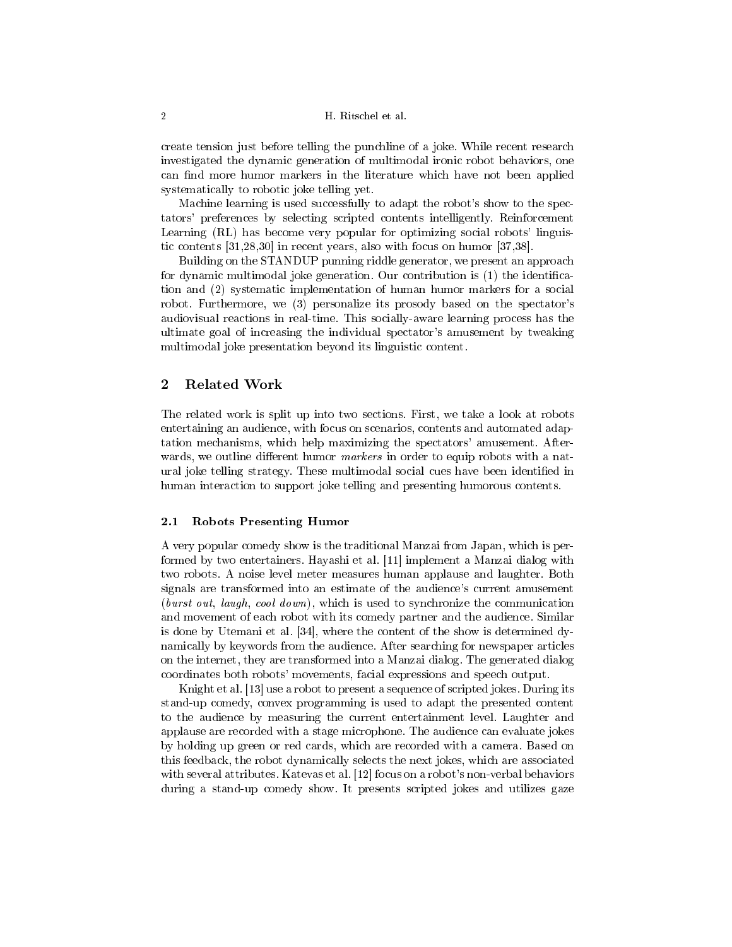create tension just before telling the punchline of a joke. While recent research investigated the dynamic generation of multimodal ironic robot behaviors, one can find more humor markers in the literature which have not been applied systematically to robotic joke telling yet.

Machine learning is used successfully to adapt the robot's show to the spectators' preferences by selecting scripted contents intelligently. Reinforcement Learning (RL) has become very popular for optimizing social robots' linguistic contents [31,28,30] in recent years, also with focus on humor [37,38].

Building on the STANDUP punning riddle generator, we present an approach for dynamic multimodal joke generation. Our contribution is (1) the identification and (2) systematic implementation of human humor markers for a social robot. Furthermore, we (3) personalize its prosody based on the spectator's audiovisual reactions in real-time. This socially-aware learning process has the ultimate goal of increasing the individual spectator's amusement by tweaking multimodal joke presentation beyond its linguistic content.

# 2 Related Work

The related work is split up into two sections. First, we take a look at robots entertaining an audience, with focus on scenarios, contents and automated adaptation mechanisms, which help maximizing the spectators' amusement. Afterwards, we outline different humor *markers* in order to equip robots with a natural joke telling strategy. These multimodal social cues have been identified in human interaction to support joke telling and presenting humorous contents.

#### 2.1 Robots Presenting Humor

A very popular comedy show is the traditional Manzai from Japan, which is performed by two entertainers. Hayashi et al. [11] implement a Manzai dialog with two robots. A noise level meter measures human applause and laughter. Both signals are transformed into an estimate of the audience's current amusement (burst out, laugh, cool down), which is used to synchronize the communication and movement of each robot with its comedy partner and the audience. Similar is done by Utemani et al. [34], where the content of the show is determined dynamically by keywords from the audience. After searching for newspaper articles on the internet, they are transformed into a Manzai dialog. The generated dialog coordinates both robots' movements, facial expressions and speech output.

Knight et al. [13] use a robot to present a sequence of scripted jokes. During its stand-up comedy, convex programming is used to adapt the presented content to the audience by measuring the current entertainment level. Laughter and applause are recorded with a stage microphone. The audience can evaluate jokes by holding up green or red cards, which are recorded with a camera. Based on this feedback, the robot dynamically selects the next jokes, which are associated with several attributes. Katevas et al. [12] focus on a robot's non-verbal behaviors during a stand-up comedy show. It presents scripted jokes and utilizes gaze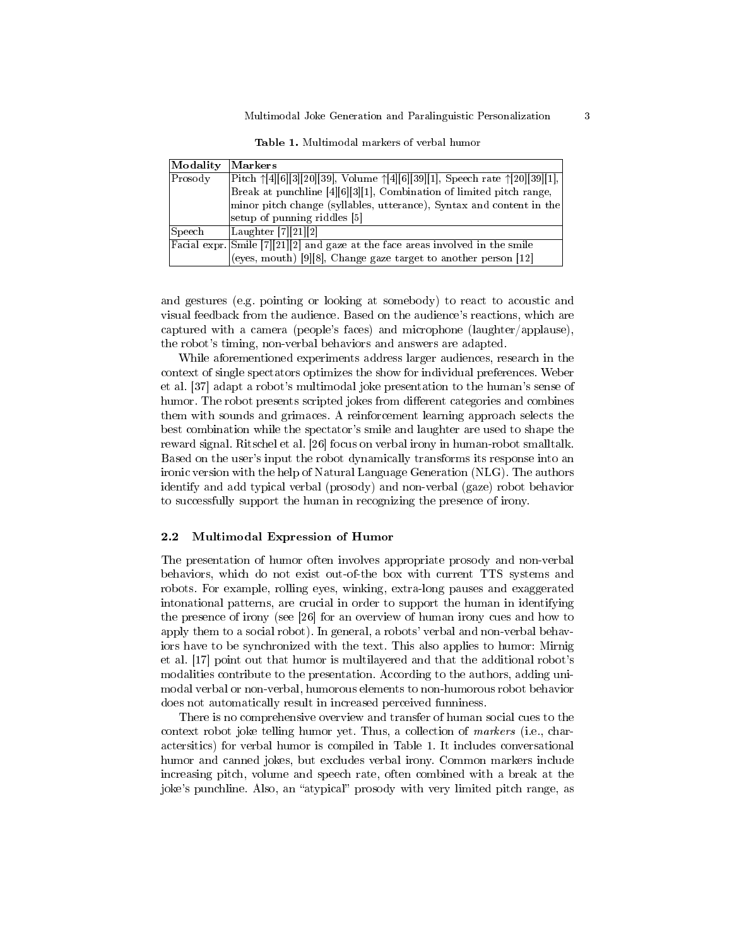| Modality           | Markers                                                                                                  |
|--------------------|----------------------------------------------------------------------------------------------------------|
| Prosody            | Pitch $\uparrow$ [4][6][3][20][39], Volume $\uparrow$ [4][6][39][1], Speech rate $\uparrow$ [20][39][1], |
|                    | Break at punchline [4][6][3][1], Combination of limited pitch range,                                     |
|                    | minor pitch change (syllables, utterance), Syntax and content in the                                     |
|                    | setup of punning riddles [5]                                                                             |
| S <sub>peech</sub> | Laughter $[7][21][2]$                                                                                    |
|                    | Facial expr. Smile [7][21][2] and gaze at the face areas involved in the smile                           |
|                    | (eyes, mouth) [9][8], Change gaze target to another person [12]                                          |

Table 1. Multimodal markers of verbal humor

and gestures (e.g. pointing or looking at somebody) to react to acoustic and visual feedback from the audience. Based on the audience's reactions, which are captured with a camera (people's faces) and microphone (laughter/applause), the robot's timing, non-verbal behaviors and answers are adapted.

While aforementioned experiments address larger audiences, research in the context of single spectators optimizes the show for individual preferences. Weber et al. [37] adapt a robot's multimodal joke presentation to the human's sense of humor. The robot presents scripted jokes from different categories and combines them with sounds and grimaces. A reinforcement learning approach selects the best combination while the spectator's smile and laughter are used to shape the reward signal. Ritschel et al. [26] focus on verbal irony in human-robot smalltalk. Based on the user's input the robot dynamically transforms its response into an ironic version with the help of Natural Language Generation (NLG). The authors identify and add typical verbal (prosody) and non-verbal (gaze) robot behavior to successfully support the human in recognizing the presence of irony.

### 2.2 Multimodal Expression of Humor

The presentation of humor often involves appropriate prosody and non-verbal behaviors, which do not exist out-of-the box with current TTS systems and robots. For example, rolling eyes, winking, extra-long pauses and exaggerated intonational patterns, are crucial in order to support the human in identifying the presence of irony (see [26] for an overview of human irony cues and how to apply them to a social robot). In general, a robots' verbal and non-verbal behaviors have to be synchronized with the text. This also applies to humor: Mirnig et al. [17] point out that humor is multilayered and that the additional robot's modalities contribute to the presentation. According to the authors, adding unimodal verbal or non-verbal, humorous elements to non-humorous robot behavior does not automatically result in increased perceived funniness.

There is no comprehensive overview and transfer of human social cues to the context robot joke telling humor yet. Thus, a collection of markers (i.e., charactersitics) for verbal humor is compiled in Table 1. It includes conversational humor and canned jokes, but excludes verbal irony. Common markers include increasing pitch, volume and speech rate, often combined with a break at the joke's punchline. Also, an "atypical" prosody with very limited pitch range, as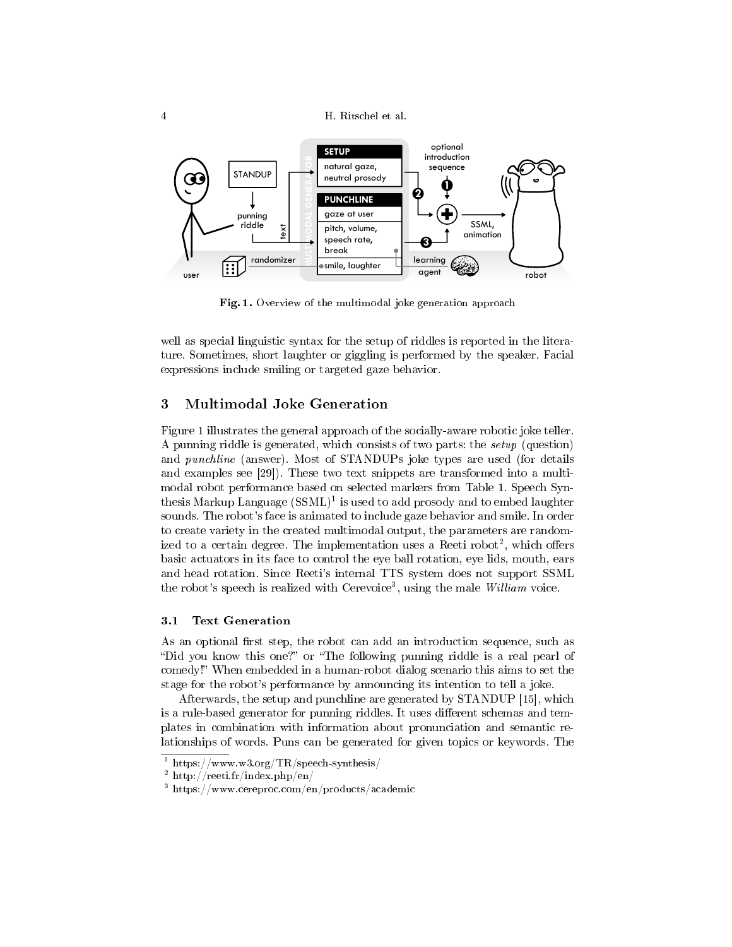4 H. Ritschel et al.



Fig. 1. Overview of the multimodal joke generation approach

well as special linguistic syntax for the setup of riddles is reported in the literature. Sometimes, short laughter or giggling is performed by the speaker. Facial expressions include smiling or targeted gaze behavior.

## 3 Multimodal Joke Generation

Figure 1 illustrates the general approach of the socially-aware robotic joke teller. A punning riddle is generated, which consists of two parts: the setup (question) and punchline (answer). Most of STANDUPs joke types are used (for details and examples see [29]). These two text snippets are transformed into a multimodal robot performance based on selected markers from Table 1. Speech Synthesis Markup Language  $(\text{SSML})^1$  is used to add prosody and to embed laughter sounds. The robot's face is animated to include gaze behavior and smile. In order to create variety in the created multimodal output, the parameters are randomized to a certain degree. The implementation uses a Reeti robot<sup>2</sup>, which offers basic actuators in its face to control the eye ball rotation, eye lids, mouth, ears and head rotation. Since Reeti's internal TTS system does not support SSML the robot's speech is realized with Cerevoice<sup>3</sup>, using the male William voice.

## 3.1 Text Generation

As an optional first step, the robot can add an introduction sequence, such as "Did you know this one?" or "The following punning riddle is a real pearl of comedy!" When embedded in a human-robot dialog scenario this aims to set the stage for the robot's performance by announcing its intention to tell a joke.

Afterwards, the setup and punchline are generated by STANDUP [15], which is a rule-based generator for punning riddles. It uses different schemas and templates in combination with information about pronunciation and semantic relationships of words. Puns can be generated for given topics or keywords. The

 $^{-1}$ https://www.w3.org/TR/speech-synthesis/

<sup>2</sup> http://reeti.fr/index.php/en/

<sup>3</sup> https://www.cereproc.com/en/products/academic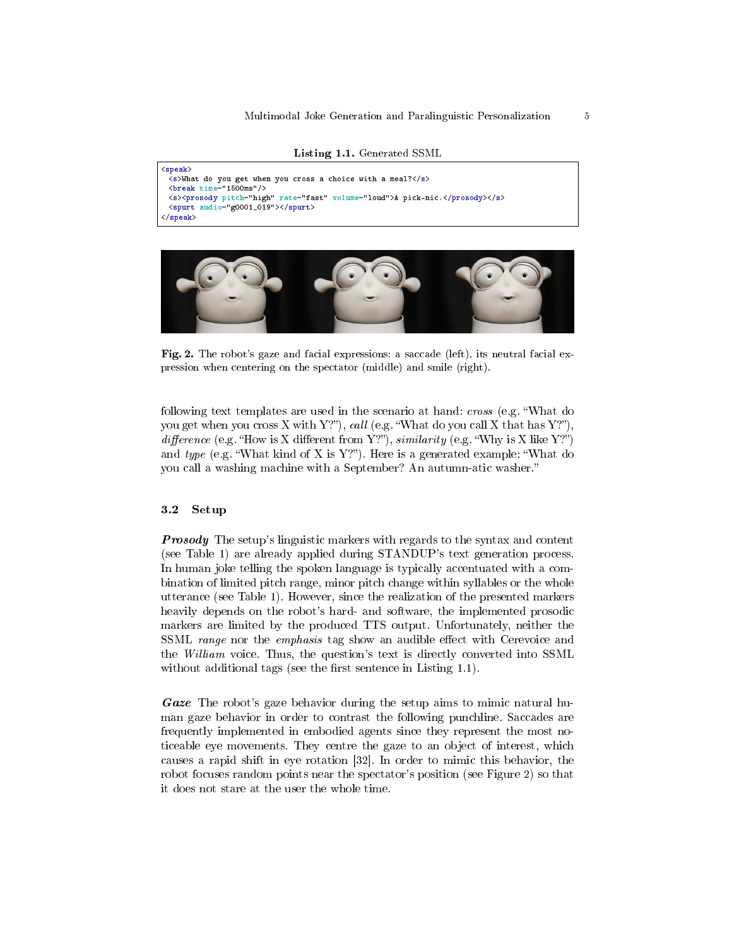```
Listing 1.1. Generated SSML
```

```
<speak>
 <s>What do you get when you cross a choice with a meal?</s>
 <break time="1500ms"/>
 <s><prosody pitch="high" rate="fast" volume="loud">A pick-nic.</prosody></s>
 <spurt audio="g0001_019"></spurt>
</speak>
```


Fig. 2. The robot's gaze and facial expressions: a saccade (left), its neutral facial expression when centering on the spectator (middle) and smile (right).

following text templates are used in the scenario at hand: *cross* (e.g. "What do you get when you cross X with Y?", call (e.g. "What do you call X that has Y?"), difference (e.g. "How is X different from Y?"), similarity (e.g. "Why is X like Y?") and  $type$  (e.g. "What kind of X is Y?"). Here is a generated example: "What do you call a washing machine with a September? An autumn-atic washer.

#### 3.2 Setup

**Prosody** The setup's linguistic markers with regards to the syntax and content (see Table 1) are already applied during STANDUP's text generation process. In human joke telling the spoken language is typically accentuated with a combination of limited pitch range, minor pitch change within syllables or the whole utterance (see Table 1). However, since the realization of the presented markers heavily depends on the robot's hard- and software, the implemented prosodic markers are limited by the produced TTS output. Unfortunately, neither the SSML range nor the emphasis tag show an audible effect with Cerevoice and the William voice. Thus, the question's text is directly converted into SSML without additional tags (see the first sentence in Listing  $1.1$ ).

Gaze The robot's gaze behavior during the setup aims to mimic natural human gaze behavior in order to contrast the following punchline. Saccades are frequently implemented in embodied agents since they represent the most noticeable eye movements. They centre the gaze to an object of interest, which causes a rapid shift in eye rotation [32]. In order to mimic this behavior, the robot focuses random points near the spectator's position (see Figure 2) so that it does not stare at the user the whole time.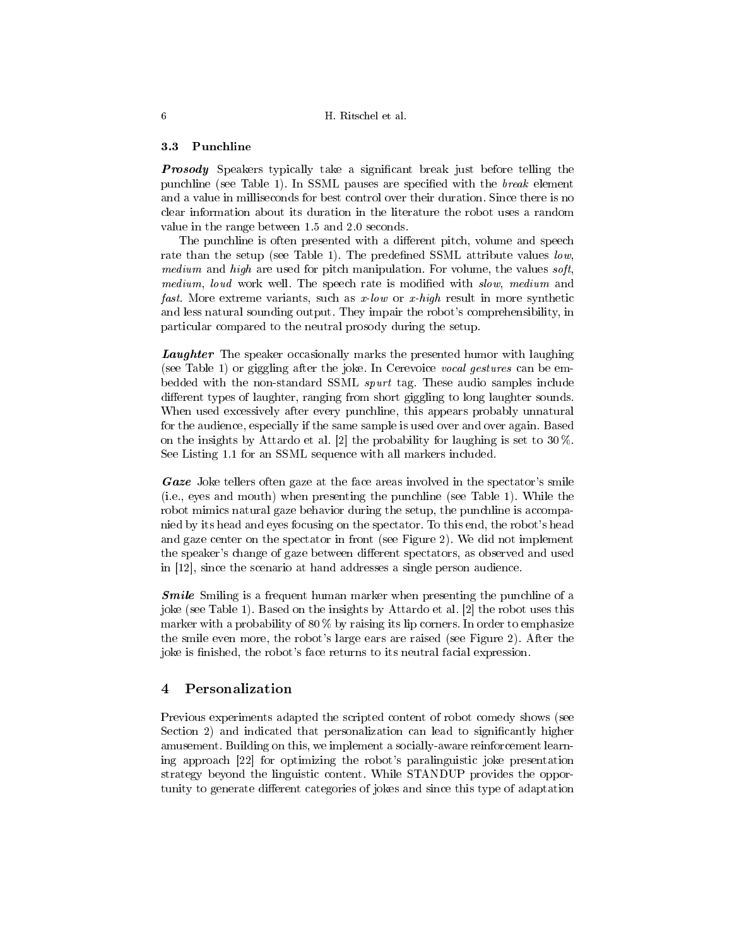## 3.3 Punchline

**Prosody** Speakers typically take a significant break just before telling the punchline (see Table 1). In SSML pauses are specified with the  $break$  element and a value in milliseconds for best control over their duration. Since there is no clear information about its duration in the literature the robot uses a random value in the range between 1.5 and 2.0 seconds.

The punchline is often presented with a different pitch, volume and speech rate than the setup (see Table 1). The predefined SSML attribute values low, medium and high are used for pitch manipulation. For volume, the values  $\textit{soft}$ , medium, loud work well. The speech rate is modified with *slow*, medium and fast. More extreme variants, such as  $x$ -low or  $x$ -high result in more synthetic and less natural sounding output. They impair the robot's comprehensibility, in particular compared to the neutral prosody during the setup.

**Laughter** The speaker occasionally marks the presented humor with laughing (see Table 1) or giggling after the joke. In Cerevoice vocal gestures can be embedded with the non-standard SSML spurt tag. These audio samples include different types of laughter, ranging from short giggling to long laughter sounds. When used excessively after every punchline, this appears probably unnatural for the audience, especially if the same sample is used over and over again. Based on the insights by Attardo et al. [2] the probability for laughing is set to 30 %. See Listing 1.1 for an SSML sequence with all markers included.

Gaze Joke tellers often gaze at the face areas involved in the spectator's smile (i.e., eyes and mouth) when presenting the punchline (see Table 1). While the robot mimics natural gaze behavior during the setup, the punchline is accompanied by its head and eyes focusing on the spectator. To this end, the robot's head and gaze center on the spectator in front (see Figure 2). We did not implement the speaker's change of gaze between different spectators, as observed and used in [12], since the scenario at hand addresses a single person audience.

**Smile** Smiling is a frequent human marker when presenting the punchline of a joke (see Table 1). Based on the insights by Attardo et al. [2] the robot uses this marker with a probability of  $80\%$  by raising its lip corners. In order to emphasize the smile even more, the robot's large ears are raised (see Figure 2). After the joke is finished, the robot's face returns to its neutral facial expression.

## 4 Personalization

Previous experiments adapted the scripted content of robot comedy shows (see Section 2) and indicated that personalization can lead to significantly higher amusement. Building on this, we implement a socially-aware reinforcement learning approach [22] for optimizing the robot's paralinguistic joke presentation strategy beyond the linguistic content. While STANDUP provides the opportunity to generate different categories of jokes and since this type of adaptation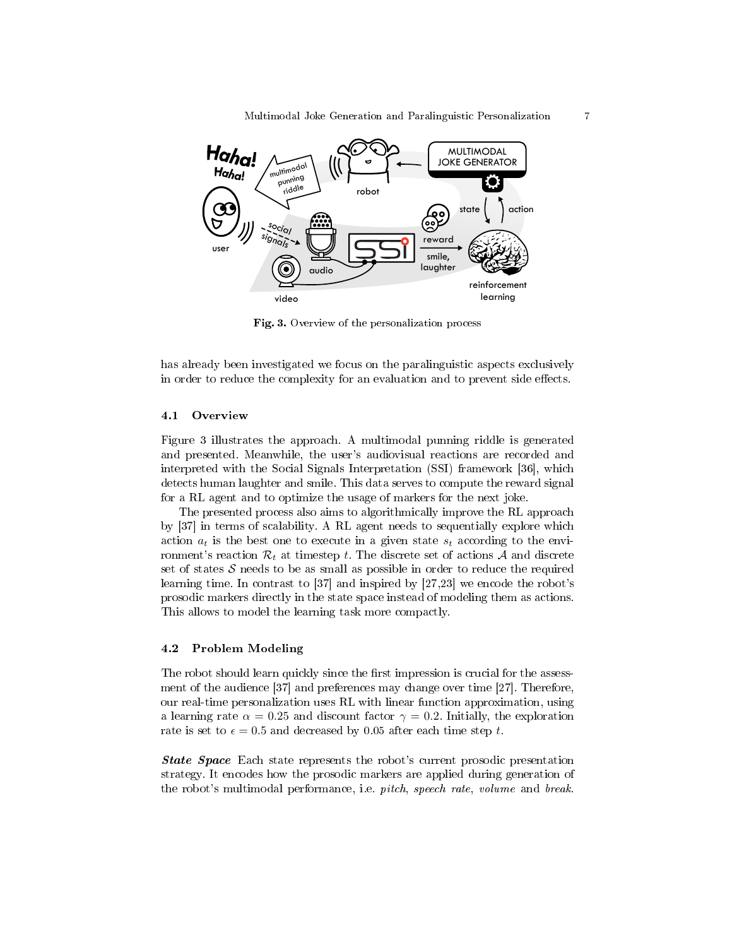

Fig. 3. Overview of the personalization process

has already been investigated we focus on the paralinguistic aspects exclusively in order to reduce the complexity for an evaluation and to prevent side effects.

#### 4.1 Overview

Figure 3 illustrates the approach. A multimodal punning riddle is generated and presented. Meanwhile, the user's audiovisual reactions are recorded and interpreted with the Social Signals Interpretation (SSI) framework [36], which detects human laughter and smile. This data serves to compute the reward signal for a RL agent and to optimize the usage of markers for the next joke.

The presented process also aims to algorithmically improve the RL approach by [37] in terms of scalability. A RL agent needs to sequentially explore which action  $a_t$  is the best one to execute in a given state  $s_t$  according to the environment's reaction  $\mathcal{R}_t$  at timestep t. The discrete set of actions A and discrete set of states  $S$  needs to be as small as possible in order to reduce the required learning time. In contrast to [37] and inspired by [27,23] we encode the robot's prosodic markers directly in the state space instead of modeling them as actions. This allows to model the learning task more compactly.

#### 4.2 Problem Modeling

The robot should learn quickly since the first impression is crucial for the assessment of the audience [37] and preferences may change over time [27]. Therefore, our real-time personalization uses RL with linear function approximation, using a learning rate  $\alpha = 0.25$  and discount factor  $\gamma = 0.2$ . Initially, the exploration rate is set to  $\epsilon = 0.5$  and decreased by 0.05 after each time step t.

**State Space** Each state represents the robot's current prosodic presentation strategy. It encodes how the prosodic markers are applied during generation of the robot's multimodal performance, i.e. *pitch*, *speech rate*, *volume* and *break*.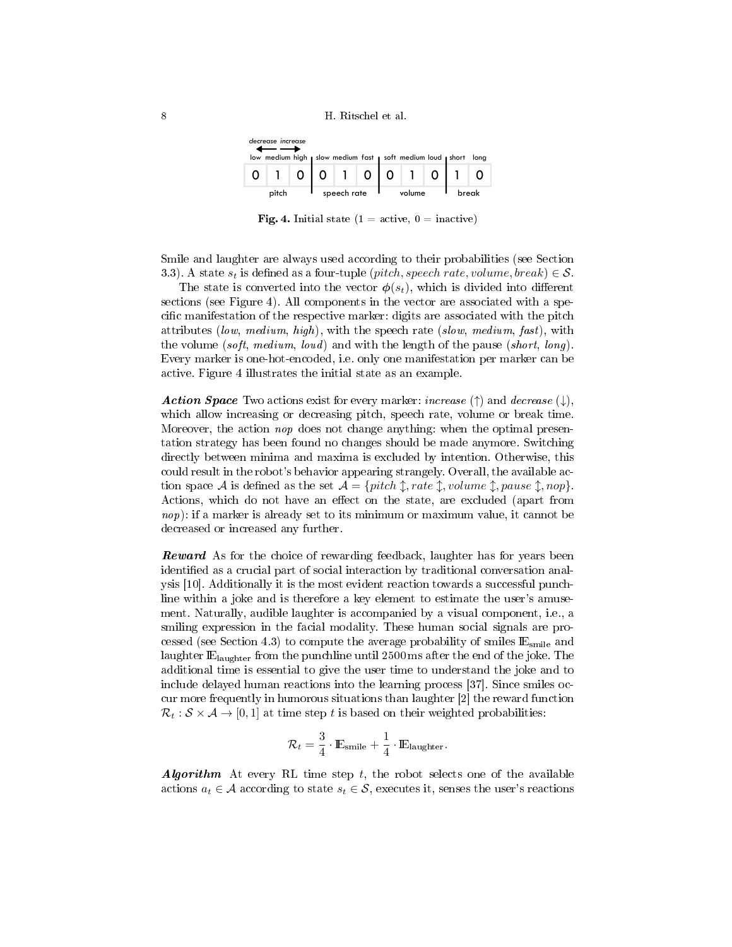

**Fig. 4.** Initial state (1 = active,  $0 =$  inactive)

Smile and laughter are always used according to their probabilities (see Section 3.3). A state  $s_t$  is defined as a four-tuple (*pitch, speech rate, volume, break*)  $\in \mathcal{S}$ .

The state is converted into the vector  $\phi(s_t)$ , which is divided into different sections (see Figure 4). All components in the vector are associated with a specific manifestation of the respective marker: digits are associated with the pitch attributes (low, medium, high), with the speech rate (slow, medium, fast), with the volume (soft, medium, loud) and with the length of the pause (short, long). Every marker is one-hot-encoded, i.e. only one manifestation per marker can be active. Figure 4 illustrates the initial state as an example.

**Action Space** Two actions exist for every marker: *increase* ( $\uparrow$ ) and *decrease* ( $\downarrow$ ), which allow increasing or decreasing pitch, speech rate, volume or break time. Moreover, the action *nop* does not change anything: when the optimal presentation strategy has been found no changes should be made anymore. Switching directly between minima and maxima is excluded by intention. Otherwise, this could result in the robot's behavior appearing strangely. Overall, the available action space A is defined as the set  $A = \{pitch \uparrow, rate \uparrow, volume \uparrow, pause \uparrow, nop\}.$ Actions, which do not have an effect on the state, are excluded (apart from nop): if a marker is already set to its minimum or maximum value, it cannot be decreased or increased any further.

**Reward** As for the choice of rewarding feedback, laughter has for years been identified as a crucial part of social interaction by traditional conversation analysis [10]. Additionally it is the most evident reaction towards a successful punchline within a joke and is therefore a key element to estimate the user's amusement. Naturally, audible laughter is accompanied by a visual component, i.e., a smiling expression in the facial modality. These human social signals are processed (see Section 4.3) to compute the average probability of smiles  $E_{\text{smile}}$  and laughter  $\mathbb{E}_{\text{language}}$  from the punchline until 2500 ms after the end of the joke. The additional time is essential to give the user time to understand the joke and to include delayed human reactions into the learning process [37]. Since smiles occur more frequently in humorous situations than laughter [2] the reward function  $\mathcal{R}_t : \mathcal{S} \times \mathcal{A} \rightarrow [0, 1]$  at time step t is based on their weighted probabilities:

$$
\mathcal{R}_t = \frac{3}{4} \cdot \mathbb{E}_{\text{smile}} + \frac{1}{4} \cdot \mathbb{E}_{\text{laughter}}.
$$

**Algorithm** At every RL time step t, the robot selects one of the available actions  $a_t \in \mathcal{A}$  according to state  $s_t \in \mathcal{S}$ , executes it, senses the user's reactions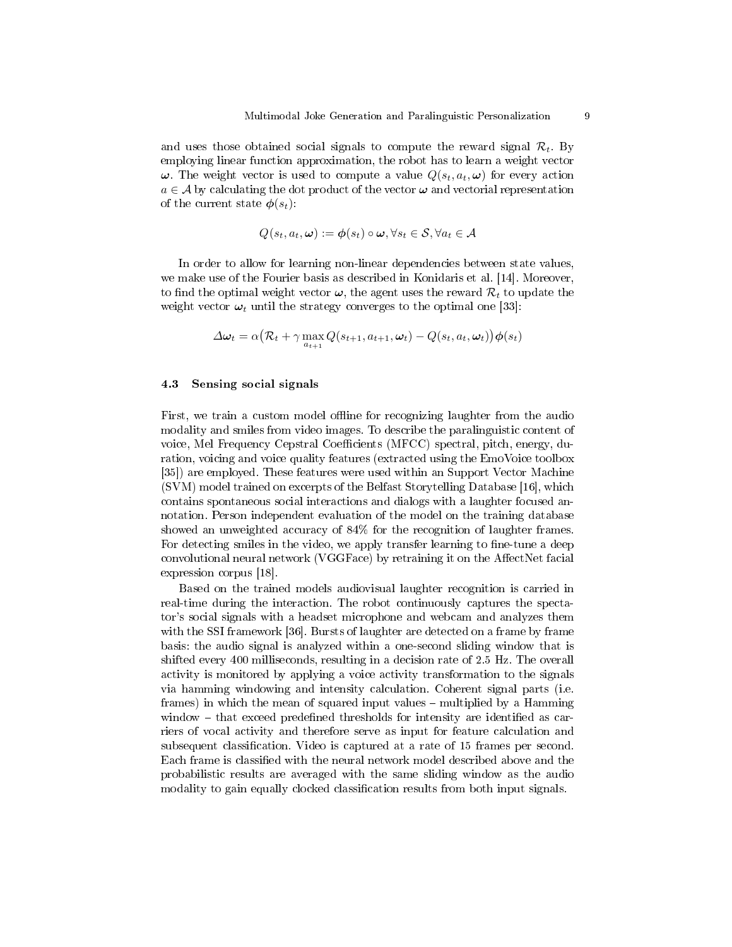and uses those obtained social signals to compute the reward signal  $\mathcal{R}_t$ . By employing linear function approximation, the robot has to learn a weight vector  $\omega$ . The weight vector is used to compute a value  $Q(s_t, a_t, \omega)$  for every action  $a \in \mathcal{A}$  by calculating the dot product of the vector  $\boldsymbol{\omega}$  and vectorial representation of the current state  $\phi(s_t)$ :

$$
Q(s_t, a_t, \omega) := \boldsymbol{\phi}(s_t) \circ \boldsymbol{\omega}, \forall s_t \in \mathcal{S}, \forall a_t \in \mathcal{A}
$$

In order to allow for learning non-linear dependencies between state values, we make use of the Fourier basis as described in Konidaris et al. [14]. Moreover, to find the optimal weight vector  $\omega$ , the agent uses the reward  $\mathcal{R}_t$  to update the weight vector  $\omega_t$  until the strategy converges to the optimal one [33]:

$$
\Delta \boldsymbol{\omega}_t = \alpha \big(\mathcal{R}_t + \gamma \max_{a_{t+1}} Q(s_{t+1}, a_{t+1}, \boldsymbol{\omega}_t) - Q(s_t, a_t, \boldsymbol{\omega}_t) \big) \boldsymbol{\phi}(s_t)
$$

#### 4.3 Sensing social signals

First, we train a custom model offline for recognizing laughter from the audio modality and smiles from video images. To describe the paralinguistic content of voice, Mel Frequency Cepstral Coefficients (MFCC) spectral, pitch, energy, duration, voicing and voice quality features (extracted using the EmoVoice toolbox [35]) are employed. These features were used within an Support Vector Machine (SVM) model trained on excerpts of the Belfast Storytelling Database [16], which contains spontaneous social interactions and dialogs with a laughter focused annotation. Person independent evaluation of the model on the training database showed an unweighted accuracy of 84% for the recognition of laughter frames. For detecting smiles in the video, we apply transfer learning to fine-tune a deep convolutional neural network (VGGFace) by retraining it on the AffectNet facial expression corpus [18].

Based on the trained models audiovisual laughter recognition is carried in real-time during the interaction. The robot continuously captures the spectator's social signals with a headset microphone and webcam and analyzes them with the SSI framework [36]. Bursts of laughter are detected on a frame by frame basis: the audio signal is analyzed within a one-second sliding window that is shifted every 400 milliseconds, resulting in a decision rate of 2.5 Hz. The overall activity is monitored by applying a voice activity transformation to the signals via hamming windowing and intensity calculation. Coherent signal parts (i.e. frames) in which the mean of squared input values – multiplied by a Hamming window  $-$  that exceed predefined thresholds for intensity are identified as carriers of vocal activity and therefore serve as input for feature calculation and subsequent classification. Video is captured at a rate of 15 frames per second. Each frame is classified with the neural network model described above and the probabilistic results are averaged with the same sliding window as the audio modality to gain equally clocked classification results from both input signals.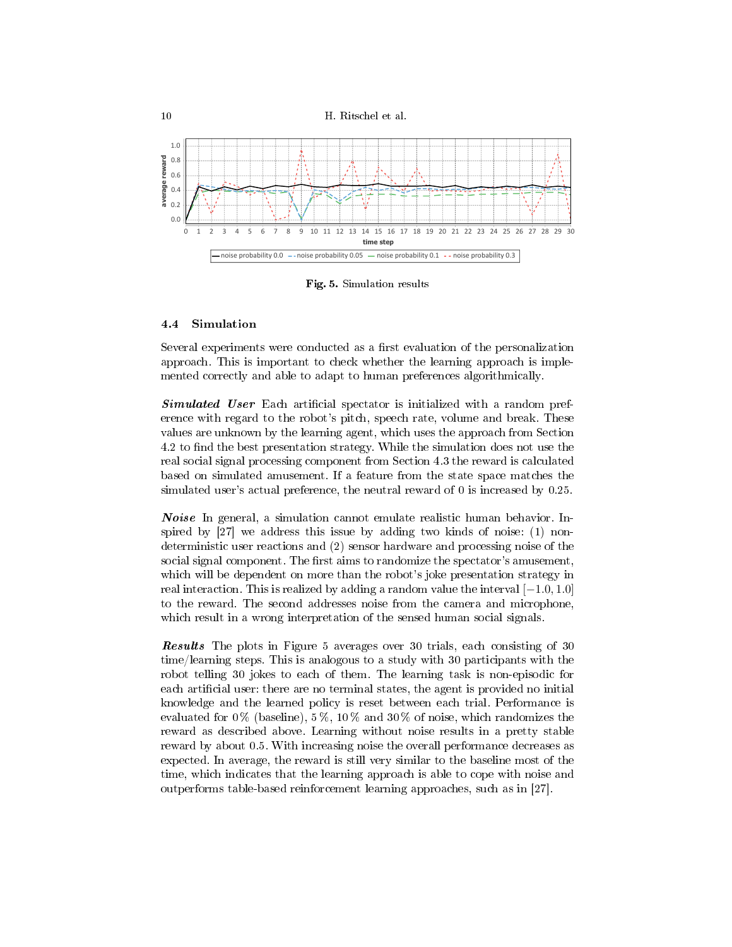



Fig. 5. Simulation results

### 4.4 Simulation

Several experiments were conducted as a first evaluation of the personalization approach. This is important to check whether the learning approach is implemented correctly and able to adapt to human preferences algorithmically.

**Simulated User** Each artificial spectator is initialized with a random preference with regard to the robot's pitch, speech rate, volume and break. These values are unknown by the learning agent, which uses the approach from Section 4.2 to find the best presentation strategy. While the simulation does not use the real social signal processing component from Section 4.3 the reward is calculated based on simulated amusement. If a feature from the state space matches the simulated user's actual preference, the neutral reward of 0 is increased by 0.25.

Noise In general, a simulation cannot emulate realistic human behavior. Inspired by [27] we address this issue by adding two kinds of noise: (1) nondeterministic user reactions and (2) sensor hardware and processing noise of the social signal component. The first aims to randomize the spectator's amusement, which will be dependent on more than the robot's joke presentation strategy in real interaction. This is realized by adding a random value the interval  $[-1.0, 1.0]$ to the reward. The second addresses noise from the camera and microphone, which result in a wrong interpretation of the sensed human social signals.

Results The plots in Figure 5 averages over 30 trials, each consisting of 30 time/learning steps. This is analogous to a study with 30 participants with the robot telling 30 jokes to each of them. The learning task is non-episodic for each artificial user: there are no terminal states, the agent is provided no initial knowledge and the learned policy is reset between each trial. Performance is evaluated for  $0\%$  (baseline),  $5\%$ ,  $10\%$  and  $30\%$  of noise, which randomizes the reward as described above. Learning without noise results in a pretty stable reward by about 0.5. With increasing noise the overall performance decreases as expected. In average, the reward is still very similar to the baseline most of the time, which indicates that the learning approach is able to cope with noise and outperforms table-based reinforcement learning approaches, such as in [27].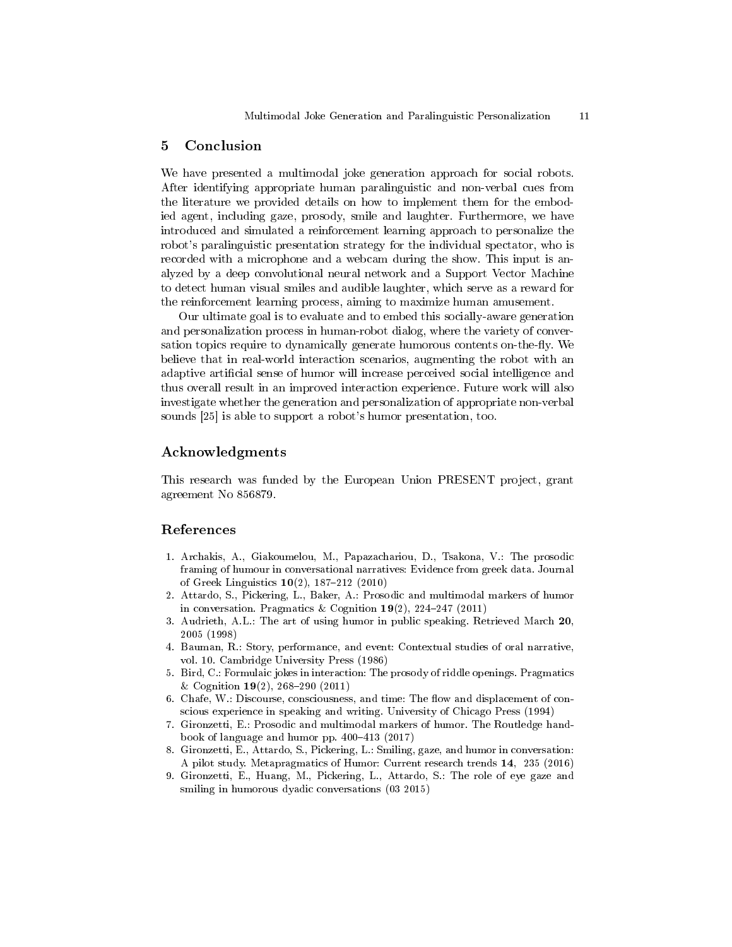## 5 Conclusion

We have presented a multimodal joke generation approach for social robots. After identifying appropriate human paralinguistic and non-verbal cues from the literature we provided details on how to implement them for the embodied agent, including gaze, prosody, smile and laughter. Furthermore, we have introduced and simulated a reinforcement learning approach to personalize the robot's paralinguistic presentation strategy for the individual spectator, who is recorded with a microphone and a webcam during the show. This input is analyzed by a deep convolutional neural network and a Support Vector Machine to detect human visual smiles and audible laughter, which serve as a reward for the reinforcement learning process, aiming to maximize human amusement.

Our ultimate goal is to evaluate and to embed this socially-aware generation and personalization process in human-robot dialog, where the variety of conversation topics require to dynamically generate humorous contents on-the-fly. We believe that in real-world interaction scenarios, augmenting the robot with an adaptive artificial sense of humor will increase perceived social intelligence and thus overall result in an improved interaction experience. Future work will also investigate whether the generation and personalization of appropriate non-verbal sounds [25] is able to support a robot's humor presentation, too.

## Acknowledgments

This research was funded by the European Union PRESENT project, grant agreement No 856879.

## References

- 1. Archakis, A., Giakoumelou, M., Papazachariou, D., Tsakona, V.: The prosodic framing of humour in conversational narratives: Evidence from greek data. Journal of Greek Linguistics  $10(2)$ , 187-212 (2010)
- 2. Attardo, S., Pickering, L., Baker, A.: Prosodic and multimodal markers of humor in conversation. Pragmatics & Cognition  $19(2)$ ,  $224-247$  (2011)
- 3. Audrieth, A.L.: The art of using humor in public speaking. Retrieved March 20, 2005 (1998)
- 4. Bauman, R.: Story, performance, and event: Contextual studies of oral narrative, vol. 10. Cambridge University Press (1986)
- 5. Bird, C.: Formulaic jokes in interaction: The prosody of riddle openings. Pragmatics & Cognition  $19(2)$ , 268-290 (2011)
- 6. Chafe, W.: Discourse, consciousness, and time: The flow and displacement of conscious experience in speaking and writing. University of Chicago Press (1994)
- 7. Gironzetti, E.: Prosodic and multimodal markers of humor. The Routledge handbook of language and humor pp.  $400-413$  (2017)
- 8. Gironzetti, E., Attardo, S., Pickering, L.: Smiling, gaze, and humor in conversation: A pilot study. Metapragmatics of Humor: Current research trends 14, 235 (2016)
- 9. Gironzetti, E., Huang, M., Pickering, L., Attardo, S.: The role of eye gaze and smiling in humorous dyadic conversations (03 2015)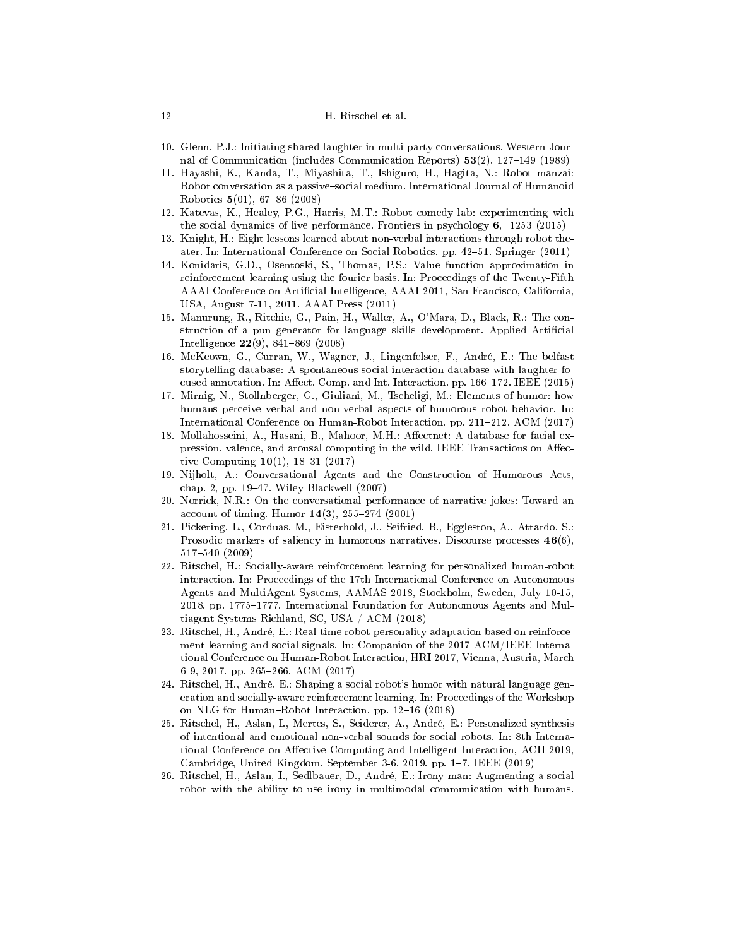#### 12 H. Ritschel et al.

- 10. Glenn, P.J.: Initiating shared laughter in multi-party conversations. Western Journal of Communication (includes Communication Reports)  $53(2)$ , 127-149 (1989)
- 11. Hayashi, K., Kanda, T., Miyashita, T., Ishiguro, H., Hagita, N.: Robot manzai: Robot conversation as a passive-social medium. International Journal of Humanoid Robotics  $5(01)$ , 67-86 (2008)
- 12. Katevas, K., Healey, P.G., Harris, M.T.: Robot comedy lab: experimenting with the social dynamics of live performance. Frontiers in psychology 6, 1253 (2015)
- 13. Knight, H.: Eight lessons learned about non-verbal interactions through robot theater. In: International Conference on Social Robotics. pp. 42–51. Springer (2011)
- 14. Konidaris, G.D., Osentoski, S., Thomas, P.S.: Value function approximation in reinforcement learning using the fourier basis. In: Proceedings of the Twenty-Fifth AAAI Conference on Artificial Intelligence, AAAI 2011, San Francisco, California. USA, August 7-11, 2011. AAAI Press (2011)
- 15. Manurung, R., Ritchie, G., Pain, H., Waller, A., O'Mara, D., Black, R.: The construction of a pun generator for language skills development. Applied Artificial Intelligence  $22(9)$ , 841-869 (2008)
- 16. McKeown, G., Curran, W., Wagner, J., Lingenfelser, F., André, E.: The belfast storytelling database: A spontaneous social interaction database with laughter focused annotation. In: Affect. Comp. and Int. Interaction. pp. 166-172. IEEE (2015)
- 17. Mirnig, N., Stollnberger, G., Giuliani, M., Tscheligi, M.: Elements of humor: how humans perceive verbal and non-verbal aspects of humorous robot behavior. In: International Conference on Human-Robot Interaction. pp. 211–212. ACM (2017)
- 18. Mollahosseini, A., Hasani, B., Mahoor, M.H.: Affectnet: A database for facial expression, valence, and arousal computing in the wild. IEEE Transactions on Affective Computing  $10(1)$ , 18-31 (2017)
- 19. Nijholt, A.: Conversational Agents and the Construction of Humorous Acts, chap. 2, pp. 1947. Wiley-Blackwell (2007)
- 20. Norrick, N.R.: On the conversational performance of narrative jokes: Toward an account of timing. Humor  $14(3)$ ,  $255-274$  (2001)
- 21. Pickering, L., Corduas, M., Eisterhold, J., Seifried, B., Eggleston, A., Attardo, S.: Prosodic markers of saliency in humorous narratives. Discourse processes  $46(6)$ , 517540 (2009)
- 22. Ritschel, H.: Socially-aware reinforcement learning for personalized human-robot interaction. In: Proceedings of the 17th International Conference on Autonomous Agents and MultiAgent Systems, AAMAS 2018, Stockholm, Sweden, July 10-15, 2018. pp. 1775-1777. International Foundation for Autonomous Agents and Multiagent Systems Richland, SC, USA / ACM (2018)
- 23. Ritschel, H., André, E.: Real-time robot personality adaptation based on reinforcement learning and social signals. In: Companion of the 2017 ACM/IEEE International Conference on Human-Robot Interaction, HRI 2017, Vienna, Austria, March 6-9, 2017. pp. 265-266. ACM (2017)
- 24. Ritschel, H., André, E.: Shaping a social robot's humor with natural language generation and socially-aware reinforcement learning. In: Proceedings of the Workshop on NLG for Human-Robot Interaction. pp. 12-16 (2018)
- 25. Ritschel, H., Aslan, I., Mertes, S., Seiderer, A., André, E.: Personalized synthesis of intentional and emotional non-verbal sounds for social robots. In: 8th International Conference on Affective Computing and Intelligent Interaction, ACII 2019, Cambridge, United Kingdom, September 3-6, 2019. pp. 1-7. IEEE (2019)
- 26. Ritschel, H., Aslan, I., Sedlbauer, D., André, E.: Irony man: Augmenting a social robot with the ability to use irony in multimodal communication with humans.